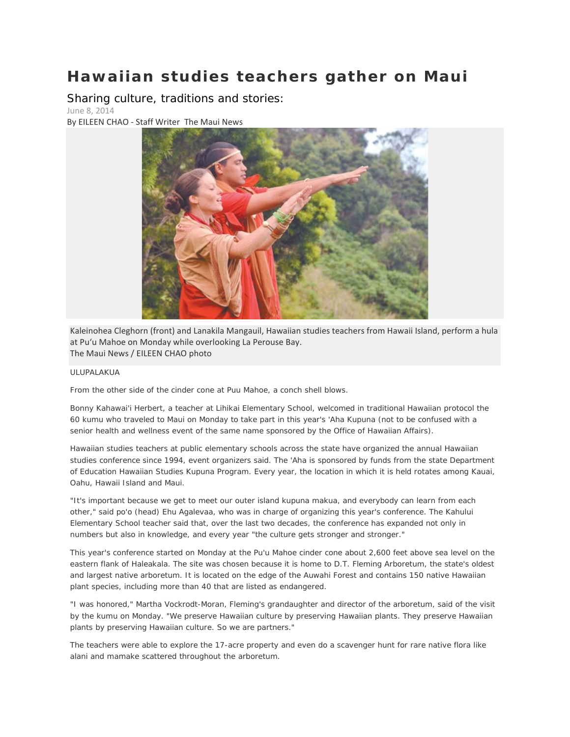## **Hawaiian studies teachers gather on Maui**

Sharing culture, traditions and stories:

June 8, 2014

By EILEEN CHAO - Staff Writer The Maui News



Kaleinohea Cleghorn (front) and Lanakila Mangauil, Hawaiian studies teachers from Hawaii Island, perform a hula at Pu'u Mahoe on Monday while overlooking La Perouse Bay. The Maui News / EILEEN CHAO photo

## ULUPALAKUA

From the other side of the cinder cone at Puu Mahoe, a conch shell blows.

Bonny Kahawai'i Herbert, a teacher at Lihikai Elementary School, welcomed in traditional Hawaiian protocol the 60 kumu who traveled to Maui on Monday to take part in this year's 'Aha Kupuna (not to be confused with a senior health and wellness event of the same name sponsored by the Office of Hawaiian Affairs).

Hawaiian studies teachers at public elementary schools across the state have organized the annual Hawaiian studies conference since 1994, event organizers said. The 'Aha is sponsored by funds from the state Department of Education Hawaiian Studies Kupuna Program. Every year, the location in which it is held rotates among Kauai, Oahu, Hawaii Island and Maui.

"It's important because we get to meet our outer island kupuna makua, and everybody can learn from each other," said po'o (head) Ehu Agalevaa, who was in charge of organizing this year's conference. The Kahului Elementary School teacher said that, over the last two decades, the conference has expanded not only in numbers but also in knowledge, and every year "the culture gets stronger and stronger."

This year's conference started on Monday at the Pu'u Mahoe cinder cone about 2,600 feet above sea level on the eastern flank of Haleakala. The site was chosen because it is home to D.T. Fleming Arboretum, the state's oldest and largest native arboretum. It is located on the edge of the Auwahi Forest and contains 150 native Hawaiian plant species, including more than 40 that are listed as endangered.

"I was honored," Martha Vockrodt-Moran, Fleming's grandaughter and director of the arboretum, said of the visit by the kumu on Monday. "We preserve Hawaiian culture by preserving Hawaiian plants. They preserve Hawaiian plants by preserving Hawaiian culture. So we are partners."

The teachers were able to explore the 17-acre property and even do a scavenger hunt for rare native flora like alani and mamake scattered throughout the arboretum.